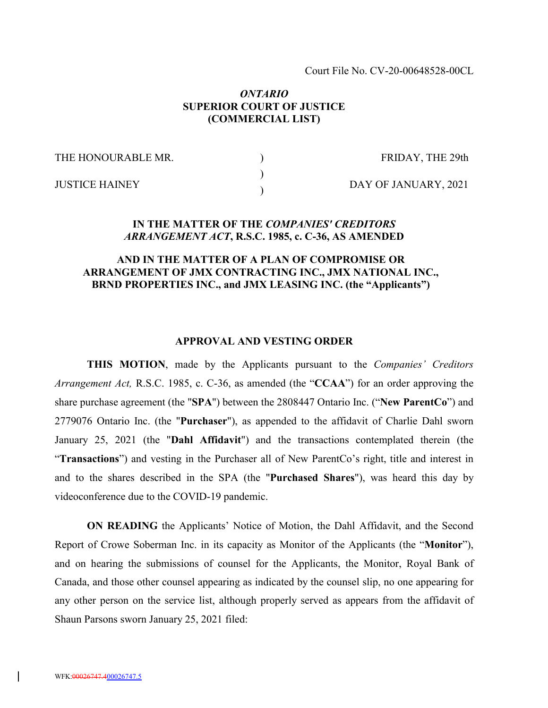Court File No. CV-20-00648528-00CL

### *ONTARIO* **SUPERIOR COURT OF JUSTICE (COMMERCIAL LIST)**

) ) )

THE HONOURABLE MR.

FRIDAY, THE 29th

JUSTICE HAINEY

DAY OF JANUARY, 2021

### **IN THE MATTER OF THE** *COMPANIES' CREDITORS ARRANGEMENT ACT***, R.S.C. 1985, c. C-36, AS AMENDED**

## **AND IN THE MATTER OF A PLAN OF COMPROMISE OR ARRANGEMENT OF JMX CONTRACTING INC., JMX NATIONAL INC., BRND PROPERTIES INC., and JMX LEASING INC. (the "Applicants")**

#### **APPROVAL AND VESTING ORDER**

**THIS MOTION**, made by the Applicants pursuant to the *Companies' Creditors Arrangement Act,* R.S.C. 1985, c. C-36, as amended (the "**CCAA**") for an order approving the share purchase agreement (the "**SPA**") between the 2808447 Ontario Inc. ("**New ParentCo**") and 2779076 Ontario Inc. (the "**Purchaser**"), as appended to the affidavit of Charlie Dahl sworn January 25, 2021 (the "**Dahl Affidavit**") and the transactions contemplated therein (the "**Transactions**") and vesting in the Purchaser all of New ParentCo's right, title and interest in and to the shares described in the SPA (the "**Purchased Shares**"), was heard this day by videoconference due to the COVID-19 pandemic.

**ON READING** the Applicants' Notice of Motion, the Dahl Affidavit, and the Second Report of Crowe Soberman Inc. in its capacity as Monitor of the Applicants (the "**Monitor**"), and on hearing the submissions of counsel for the Applicants, the Monitor, Royal Bank of Canada, and those other counsel appearing as indicated by the counsel slip, no one appearing for any other person on the service list, although properly served as appears from the affidavit of Shaun Parsons sworn January 25, 2021 filed: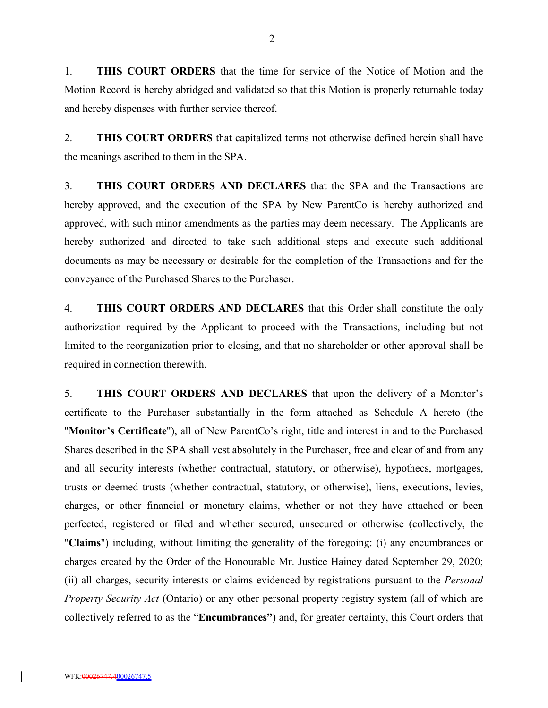1. **THIS COURT ORDERS** that the time for service of the Notice of Motion and the Motion Record is hereby abridged and validated so that this Motion is properly returnable today and hereby dispenses with further service thereof.

2. **THIS COURT ORDERS** that capitalized terms not otherwise defined herein shall have the meanings ascribed to them in the SPA.

3. **THIS COURT ORDERS AND DECLARES** that the SPA and the Transactions are hereby approved, and the execution of the SPA by New ParentCo is hereby authorized and approved, with such minor amendments as the parties may deem necessary. The Applicants are hereby authorized and directed to take such additional steps and execute such additional documents as may be necessary or desirable for the completion of the Transactions and for the conveyance of the Purchased Shares to the Purchaser.

4. **THIS COURT ORDERS AND DECLARES** that this Order shall constitute the only authorization required by the Applicant to proceed with the Transactions, including but not limited to the reorganization prior to closing, and that no shareholder or other approval shall be required in connection therewith.

5. **THIS COURT ORDERS AND DECLARES** that upon the delivery of a Monitor's certificate to the Purchaser substantially in the form attached as Schedule A hereto (the "**Monitor's Certificate**"), all of New ParentCo's right, title and interest in and to the Purchased Shares described in the SPA shall vest absolutely in the Purchaser, free and clear of and from any and all security interests (whether contractual, statutory, or otherwise), hypothecs, mortgages, trusts or deemed trusts (whether contractual, statutory, or otherwise), liens, executions, levies, charges, or other financial or monetary claims, whether or not they have attached or been perfected, registered or filed and whether secured, unsecured or otherwise (collectively, the "**Claims**") including, without limiting the generality of the foregoing: (i) any encumbrances or charges created by the Order of the Honourable Mr. Justice Hainey dated September 29, 2020; (ii) all charges, security interests or claims evidenced by registrations pursuant to the *Personal Property Security Act* (Ontario) or any other personal property registry system (all of which are collectively referred to as the "**Encumbrances"**) and, for greater certainty, this Court orders that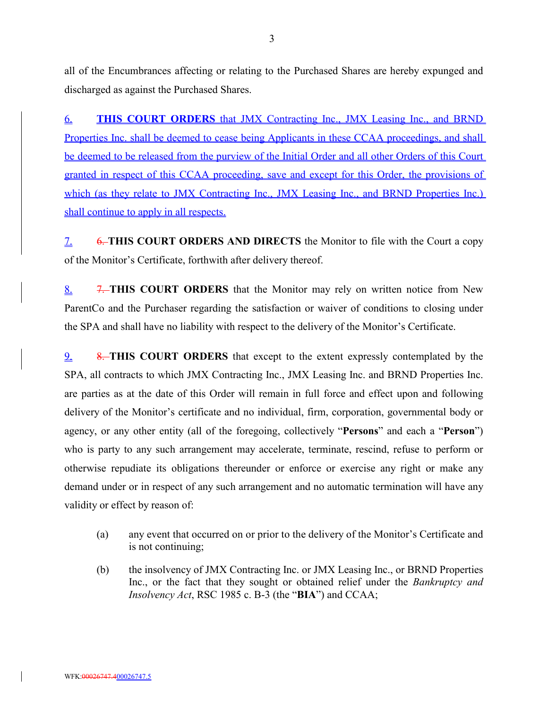all of the Encumbrances affecting or relating to the Purchased Shares are hereby expunged and discharged as against the Purchased Shares.

6. **THIS COURT ORDERS** that JMX Contracting Inc., JMX Leasing Inc., and BRND Properties Inc. shall be deemed to cease being Applicants in these CCAA proceedings, and shall be deemed to be released from the purview of the Initial Order and all other Orders of this Court granted in respect of this CCAA proceeding, save and except for this Order, the provisions of which (as they relate to JMX Contracting Inc., JMX Leasing Inc., and BRND Properties Inc.) shall continue to apply in all respects.

7. 6. **THIS COURT ORDERS AND DIRECTS** the Monitor to file with the Court a copy of the Monitor's Certificate, forthwith after delivery thereof.

8. 7. **THIS COURT ORDERS** that the Monitor may rely on written notice from New ParentCo and the Purchaser regarding the satisfaction or waiver of conditions to closing under the SPA and shall have no liability with respect to the delivery of the Monitor's Certificate.

9. 8. **THIS COURT ORDERS** that except to the extent expressly contemplated by the SPA, all contracts to which JMX Contracting Inc., JMX Leasing Inc. and BRND Properties Inc. are parties as at the date of this Order will remain in full force and effect upon and following delivery of the Monitor's certificate and no individual, firm, corporation, governmental body or agency, or any other entity (all of the foregoing, collectively "**Persons**" and each a "**Person**") who is party to any such arrangement may accelerate, terminate, rescind, refuse to perform or otherwise repudiate its obligations thereunder or enforce or exercise any right or make any demand under or in respect of any such arrangement and no automatic termination will have any validity or effect by reason of:

- (a) any event that occurred on or prior to the delivery of the Monitor's Certificate and is not continuing;
- (b) the insolvency of JMX Contracting Inc. or JMX Leasing Inc., or BRND Properties Inc., or the fact that they sought or obtained relief under the *Bankruptcy and Insolvency Act*, RSC 1985 c. B-3 (the "**BIA**") and CCAA;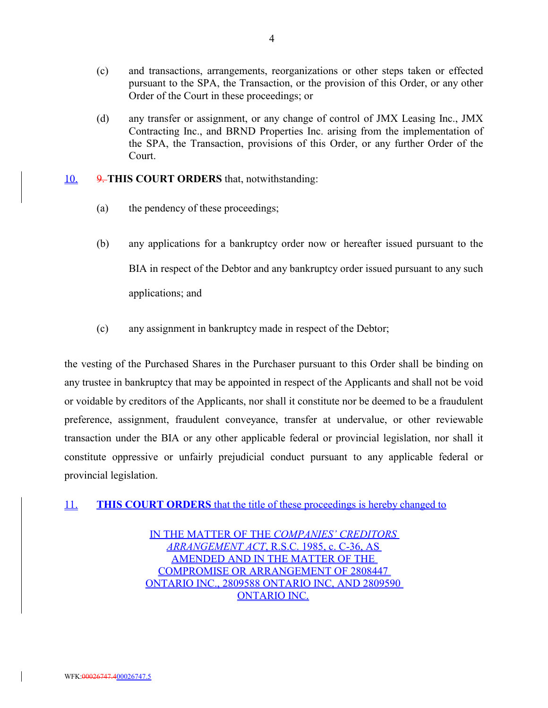- (c) and transactions, arrangements, reorganizations or other steps taken or effected pursuant to the SPA, the Transaction, or the provision of this Order, or any other Order of the Court in these proceedings; or
- (d) any transfer or assignment, or any change of control of JMX Leasing Inc., JMX Contracting Inc., and BRND Properties Inc. arising from the implementation of the SPA, the Transaction, provisions of this Order, or any further Order of the Court.

### 10. 9. **THIS COURT ORDERS** that, notwithstanding:

- (a) the pendency of these proceedings;
- (b) any applications for a bankruptcy order now or hereafter issued pursuant to the BIA in respect of the Debtor and any bankruptcy order issued pursuant to any such applications; and
- (c) any assignment in bankruptcy made in respect of the Debtor;

the vesting of the Purchased Shares in the Purchaser pursuant to this Order shall be binding on any trustee in bankruptcy that may be appointed in respect of the Applicants and shall not be void or voidable by creditors of the Applicants, nor shall it constitute nor be deemed to be a fraudulent preference, assignment, fraudulent conveyance, transfer at undervalue, or other reviewable transaction under the BIA or any other applicable federal or provincial legislation, nor shall it constitute oppressive or unfairly prejudicial conduct pursuant to any applicable federal or provincial legislation.

11. **THIS COURT ORDERS** that the title of these proceedings is hereby changed to

IN THE MATTER OF THE *COMPANIES' CREDITORS ARRANGEMENT ACT*, R.S.C. 1985, c. C-36, AS AMENDED AND IN THE MATTER OF THE COMPROMISE OR ARRANGEMENT OF 2808447 ONTARIO INC., 2809588 ONTARIO INC, AND 2809590 ONTARIO INC.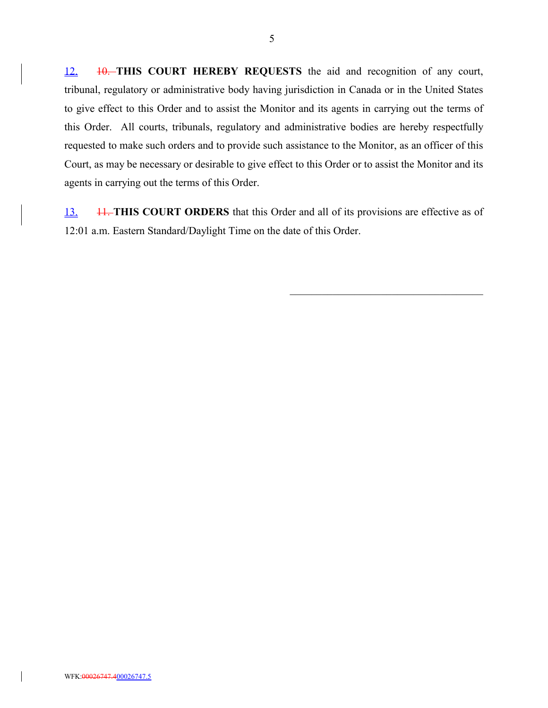12. **10. THIS COURT HEREBY REQUESTS** the aid and recognition of any court, tribunal, regulatory or administrative body having jurisdiction in Canada or in the United States to give effect to this Order and to assist the Monitor and its agents in carrying out the terms of this Order. All courts, tribunals, regulatory and administrative bodies are hereby respectfully requested to make such orders and to provide such assistance to the Monitor, as an officer of this Court, as may be necessary or desirable to give effect to this Order or to assist the Monitor and its agents in carrying out the terms of this Order.

13. 11. **THIS COURT ORDERS** that this Order and all of its provisions are effective as of 12:01 a.m. Eastern Standard/Daylight Time on the date of this Order.

5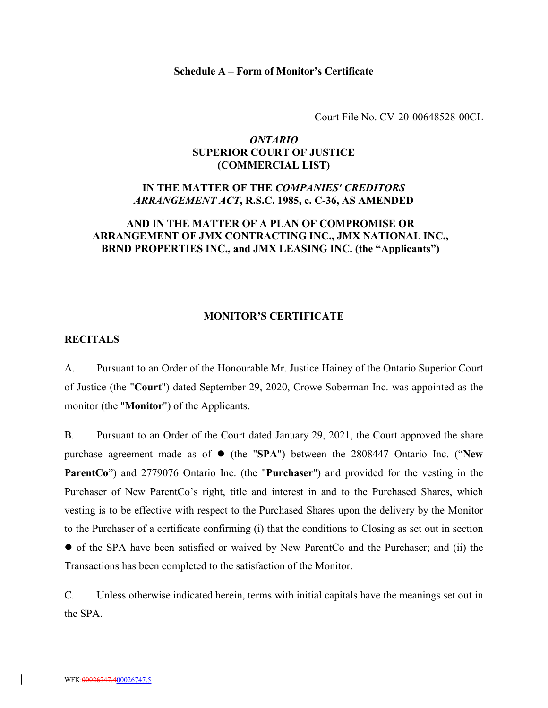#### **Schedule A – Form of Monitor's Certificate**

Court File No. CV-20-00648528-00CL

# *ONTARIO* **SUPERIOR COURT OF JUSTICE (COMMERCIAL LIST)**

## **IN THE MATTER OF THE** *COMPANIES' CREDITORS ARRANGEMENT ACT***, R.S.C. 1985, c. C-36, AS AMENDED**

## **AND IN THE MATTER OF A PLAN OF COMPROMISE OR ARRANGEMENT OF JMX CONTRACTING INC., JMX NATIONAL INC., BRND PROPERTIES INC., and JMX LEASING INC. (the "Applicants")**

#### **MONITOR'S CERTIFICATE**

# **RECITALS**

A. Pursuant to an Order of the Honourable Mr. Justice Hainey of the Ontario Superior Court of Justice (the "**Court**") dated September 29, 2020, Crowe Soberman Inc. was appointed as the monitor (the "**Monitor**") of the Applicants.

B. Pursuant to an Order of the Court dated January 29, 2021, the Court approved the share purchase agreement made as of ● (the "SPA") between the 2808447 Ontario Inc. ("New **ParentCo**") and 2779076 Ontario Inc. (the "**Purchaser**") and provided for the vesting in the Purchaser of New ParentCo's right, title and interest in and to the Purchased Shares, which vesting is to be effective with respect to the Purchased Shares upon the delivery by the Monitor to the Purchaser of a certificate confirming (i) that the conditions to Closing as set out in section of the SPA have been satisfied or waived by New ParentCo and the Purchaser; and (ii) the Transactions has been completed to the satisfaction of the Monitor.

C. Unless otherwise indicated herein, terms with initial capitals have the meanings set out in the SPA.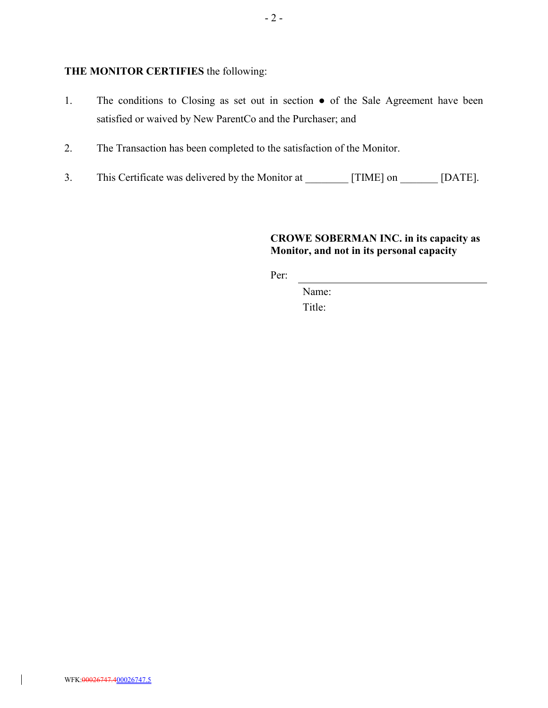# **THE MONITOR CERTIFIES** the following:

- 1. The conditions to Closing as set out in section of the Sale Agreement have been satisfied or waived by New ParentCo and the Purchaser; and
- 2. The Transaction has been completed to the satisfaction of the Monitor.
- 3. This Certificate was delivered by the Monitor at [TIME] on [DATE].

# **CROWE SOBERMAN INC. in its capacity as Monitor, and not in its personal capacity**

Per:

Name: Title:

 $\overline{\phantom{a}}$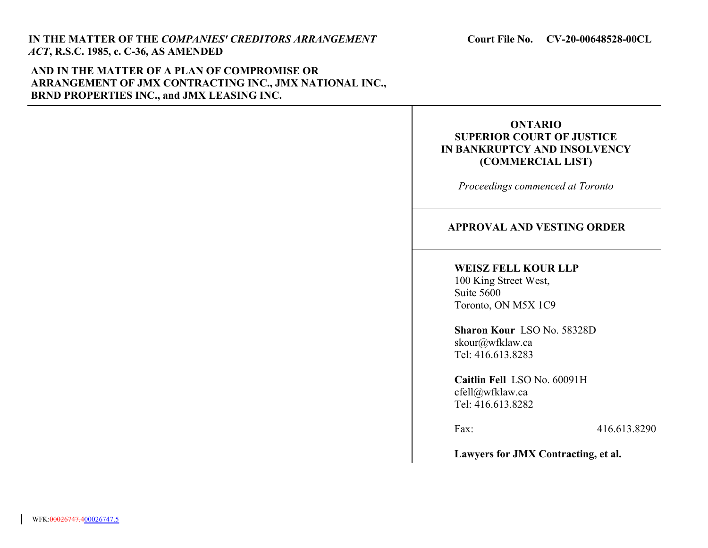# **AND IN THE MATTER OF A PLAN OF COMPROMISE OR ARRANGEMENT OF JMX CONTRACTING INC., JMX NATIONAL INC., BRND PROPERTIES INC., and JMX LEASING INC.**

# **ONTARIO SUPERIOR COURT OF JUSTICE IN BANKRUPTCY AND INSOLVENCY (COMMERCIAL LIST)**

*Proceedings commenced at Toronto*

# **APPROVAL AND VESTING ORDER**

### **WEISZ FELL KOUR LLP**

100 King Street West, Suite 5600 Toronto, ON M5X 1C9

**Sharon Kour** LSO No. 58328D skour@wfklaw.ca Tel: 416.613.8283

**Caitlin Fell** LSO No. 60091H cfell@wfklaw.ca Tel: 416.613.8282

Fax: 416.613.8290

**Lawyers for JMX Contracting, et al.**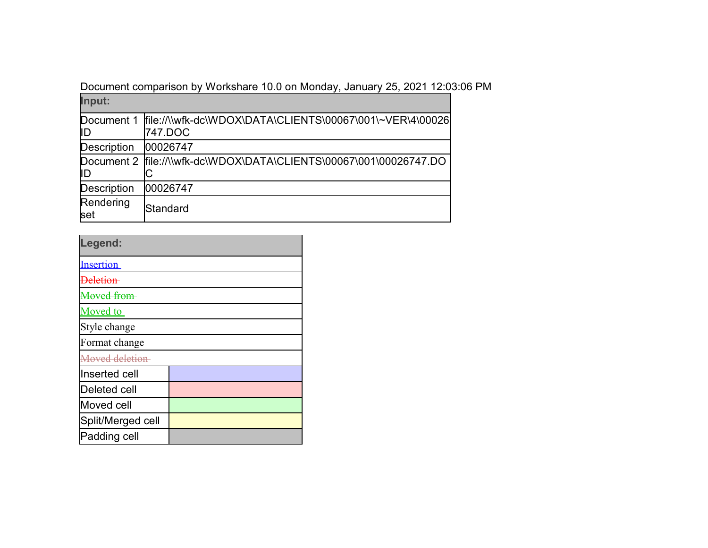Document comparison by Workshare 10.0 on Monday, January 25, 2021 12:03:06 PM

| Input:             |                                                                                 |  |
|--------------------|---------------------------------------------------------------------------------|--|
| lID                | Document 1 ffile://\\wfk-dc\WDOX\DATA\CLIENTS\00067\001\~VER\4\00026<br>747.DOC |  |
| <b>Description</b> | 00026747                                                                        |  |
| lID                | Document 2  file://\\wfk-dc\WDOX\DATA\CLIENTS\00067\001\00026747.DO             |  |
| <b>Description</b> | 00026747                                                                        |  |
| Rendering<br>set   | Standard                                                                        |  |

| Legend:               |  |  |  |
|-----------------------|--|--|--|
| <b>Insertion</b>      |  |  |  |
| Jeletion              |  |  |  |
| <del>Moved from</del> |  |  |  |
| Moved to              |  |  |  |
| Style change          |  |  |  |
| Format change         |  |  |  |
| Moved deletion        |  |  |  |
| Inserted cell         |  |  |  |
| Deleted cell          |  |  |  |
| Moved cell            |  |  |  |
| Split/Merged cell     |  |  |  |
| Padding cell          |  |  |  |